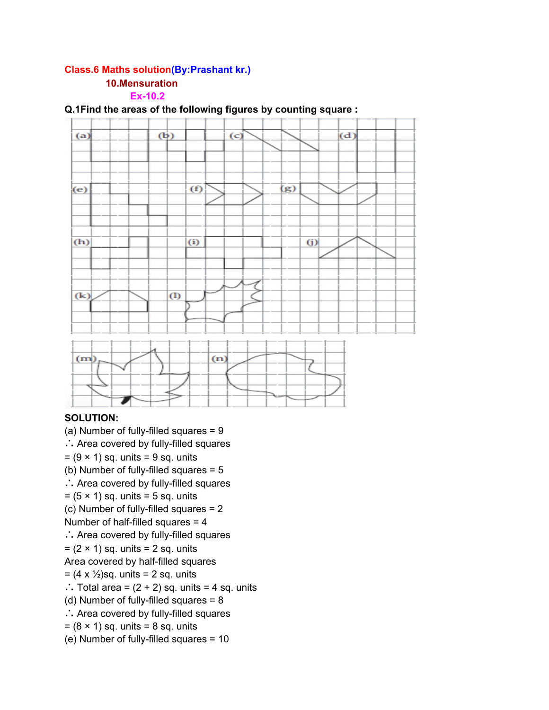# **Class.6 Maths solution(By:Prashant kr.)**

## **10.Mensuration**

## **Ex-10.2**



#### **Q.1Find the areas of the following figures by counting square :**

#### **SOLUTION:**

(a) Number of fully-filled squares = 9 ∴ Area covered by fully-filled squares  $= (9 \times 1)$  sq. units  $= 9$  sq. units (b) Number of fully-filled squares = 5 ∴ Area covered by fully-filled squares  $= (5 \times 1)$  sq. units  $= 5$  sq. units (c) Number of fully-filled squares = 2 Number of half-filled squares = 4 ∴ Area covered by fully-filled squares  $= (2 \times 1)$  sq. units  $= 2$  sq. units Area covered by half-filled squares  $= (4 \times \frac{1}{2})$ sq. units = 2 sq. units ∴ Total area =  $(2 + 2)$  sq. units = 4 sq. units (d) Number of fully-filled squares = 8 ∴ Area covered by fully-filled squares  $= (8 \times 1)$  sq. units  $= 8$  sq. units (e) Number of fully-filled squares = 10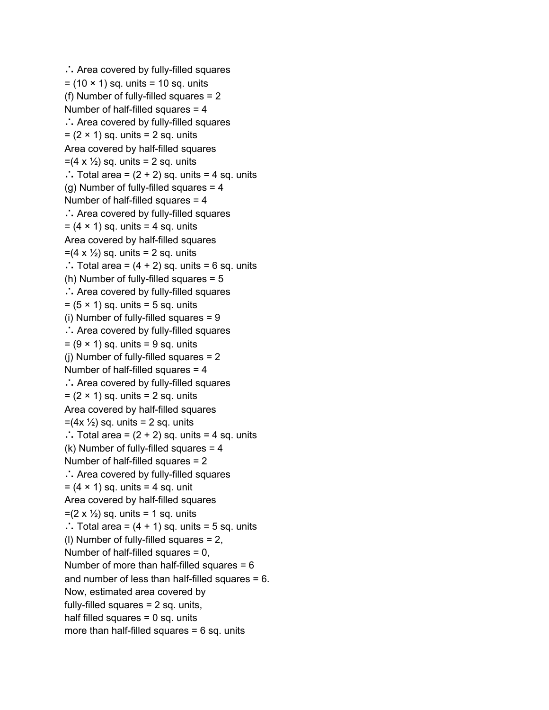```
∴ Area covered by fully-filled squares
= (10 \times 1) sq. units = 10 sq. units
(f) Number of fully-filled squares = 2
Number of half-filled squares = 4∴ Area covered by fully-filled squares
= (2 \times 1) sq. units = 2 sq. units
Area covered by half-filled squares
=(4 \times \frac{1}{2}) sq. units = 2 sq. units
∴ Total area = (2 + 2) sq. units = 4 sq. units
(g) Number of fully-filled squares = 4
Number of half-filled squares = 4
∴ Area covered by fully-filled squares
= (4 \times 1) sq. units = 4 sq. units
Area covered by half-filled squares
=(4 \times \frac{1}{2}) sq. units = 2 sq. units
∴ Total area = (4 + 2) sq. units = 6 sq. units
(h) Number of fully-filled squares = 5
∴ Area covered by fully-filled squares
= (5 \times 1) sq. units = 5 sq. units
(i) Number of fully-filled squares = 9
∴ Area covered by fully-filled squares
= (9 \times 1) sq. units = 9 sq. units
(j) Number of fully-filled squares = 2
Number of half-filled squares = 4
∴ Area covered by fully-filled squares
= (2 \times 1) sq. units = 2 sq. units
Area covered by half-filled squares
=(4x \frac{1}{2}) sq. units = 2 sq. units
∴ Total area = (2 + 2) sq. units = 4 sq. units
(k) Number of fully-filled squares = 4
Number of half-filled squares = 2
∴ Area covered by fully-filled squares
= (4 \times 1) sq. units = 4 sq. unit
Area covered by half-filled squares
=(2 \times \frac{1}{2}) sq. units = 1 sq. units
∴ Total area = (4 + 1) sq. units = 5 sq. units
(l) Number of fully-filled squares = 2,
Number of half-filled squares = 0,
Number of more than half-filled squares = 6
and number of less than half-filled squares = 6.
Now, estimated area covered by
fully-filled squares = 2 sq. units,
half filled squares = 0 sq. units
more than half-filled squares = 6 sq. units
```